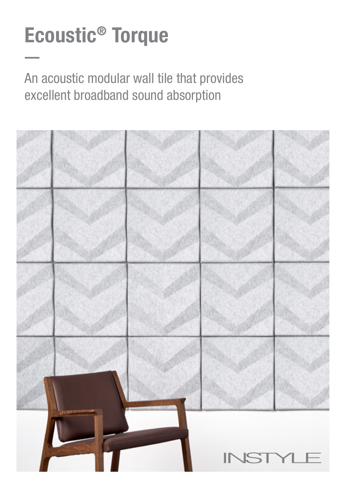# Ecoustic® Torque

An acoustic modular wall tile that provides excellent broadband sound absorption

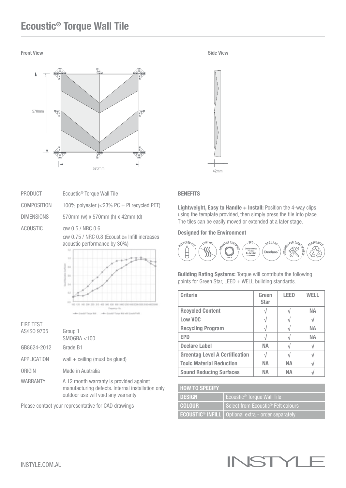## Ecoustic® Torque Wall Tile

#### **Front View Side View Side Side View Side View Side View Side View Side View Side View Side View Side View Side View Side View Side View Side View Side View Side View Side View Side View Side View Side View Side View Side**



| <b>PRODUCT</b>     | Ecoustic <sup>®</sup> Torque Wall Tile                                                            |
|--------------------|---------------------------------------------------------------------------------------------------|
| <b>COMPOSITION</b> | 100% polyester (<23% PC + PI recycled PET)                                                        |
| <b>DIMENSIONS</b>  | 570mm (w) x 570mm (h) x 42mm (d)                                                                  |
| ACOUSTIC           | aw 0.5 / NRC 0.6<br>aw 0.75 / NRC 0.8 (Ecoustic® Infill increases<br>acoustic performance by 30%) |

FIRE TEST AS/ISO 9705 Group 1 SMOGRA <100 GB8624-2012 Grade B1  $APPLICATION$  wall  $+$  ceiling (must be glued) ORIGIN Made in Australia WARRANTY A 12 month warranty is provided against manufacturing defects. Internal installation only,

outdoor use will void any warranty

**Company's State Laboratory** 

Please contact your representative for CAD drawings

### **BENEFITS**

Lightweight, Easy to Handle + Install: Position the 4-way clips using the template provided, then simply press the tile into place. The tiles can be easily moved or extended at a later stage.

#### Designed for the Environment



Building Rating Systems: Torque will contribute the following points for Green Star, LEED + WELL building standards.

| <b>Criteria</b>                       | Green<br><b>Star</b> | <b>LEED</b> | WFI I |
|---------------------------------------|----------------------|-------------|-------|
| <b>Recycled Content</b>               |                      |             | NА    |
| Low VOC                               |                      |             |       |
| <b>Recycling Program</b>              |                      |             | NΑ    |
| <b>EPD</b>                            |                      |             | NΑ    |
| <b>Declare Label</b>                  | NА                   |             |       |
| <b>Greentag Level A Certification</b> |                      |             |       |
| <b>Toxic Material Reduction</b>       | NА                   | <b>NA</b>   |       |
| <b>Sound Reducing Surfaces</b>        | NΔ                   | NΔ          |       |

| <b>HOW TO SPECIFY</b> |                                                                        |
|-----------------------|------------------------------------------------------------------------|
| <b>DESIGN</b>         | Ecoustic® Torque Wall Tile '                                           |
| <b>COLOUR</b>         | Select from Ecoustic <sup>®</sup> Felt colours                         |
|                       | <b>ECOUSTIC<sup>®</sup> INFILL</b>   Optional extra - order separately |